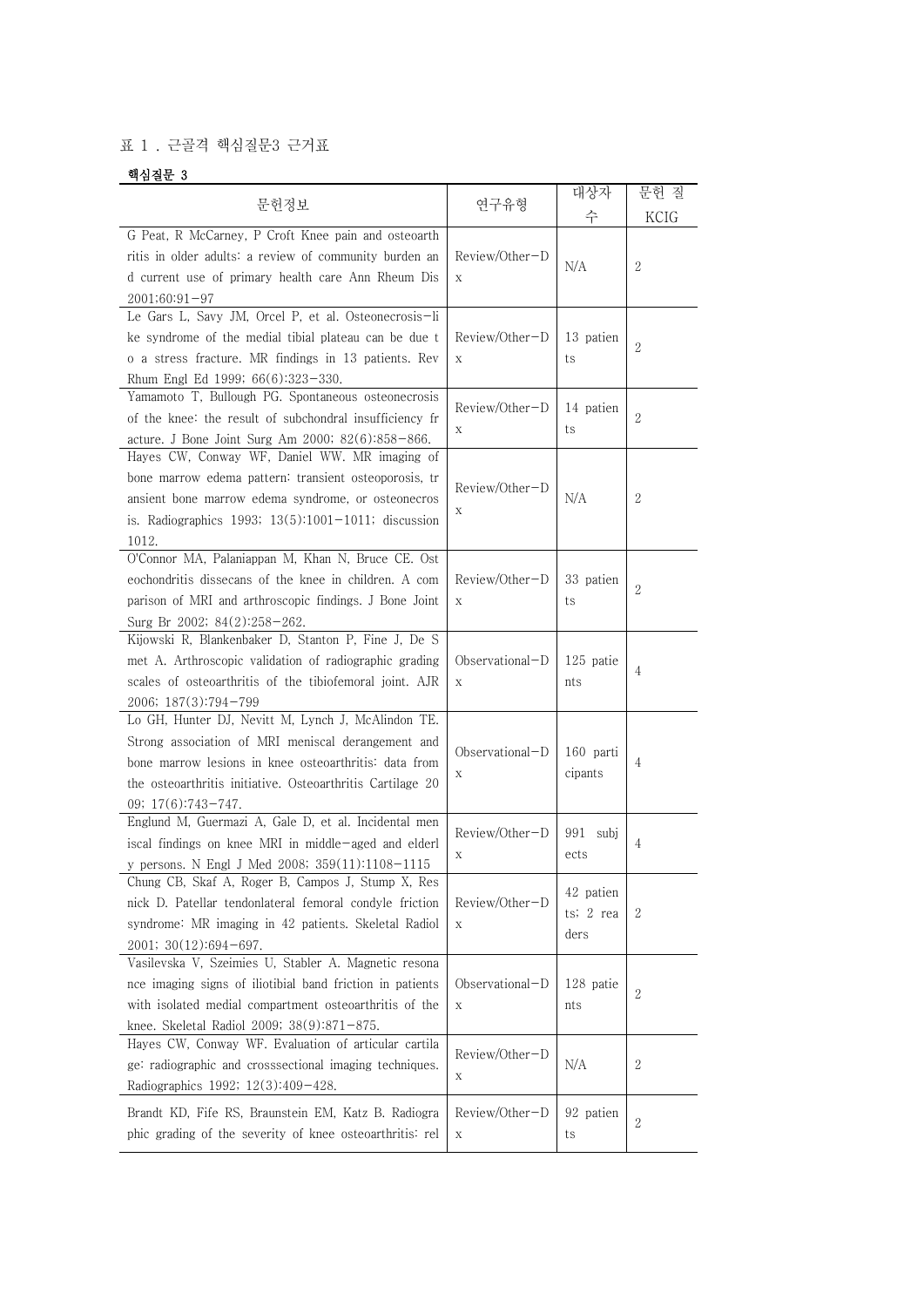## 표 1 . 근골격 핵심질문3 근거표

## 핵심질문 3

| 문헌정보                                                                                                                                                                                                                                                        | 연구유형                 | 대상자                            | 문헌 질           |
|-------------------------------------------------------------------------------------------------------------------------------------------------------------------------------------------------------------------------------------------------------------|----------------------|--------------------------------|----------------|
| G Peat, R McCarney, P Croft Knee pain and osteoarth<br>ritis in older adults: a review of community burden an<br>d current use of primary health care Ann Rheum Dis<br>$2001;60:91-97$                                                                      | Review/Other-D<br>X  | 수<br>N/A                       | KCIG<br>2      |
| Le Gars L, Savy JM, Orcel P, et al. Osteonecrosis-li<br>ke syndrome of the medial tibial plateau can be due t<br>o a stress fracture. MR findings in 13 patients. Rev<br>Rhum Engl Ed 1999; 66(6):323-330.                                                  | Review/Other-D<br>X  | 13 patien<br>ts                | $\overline{2}$ |
| Yamamoto T, Bullough PG. Spontaneous osteonecrosis<br>of the knee: the result of subchondral insufficiency fr<br>acture. J Bone Joint Surg Am 2000; 82(6):858-866.                                                                                          | Review/Other-D<br>Х  | 14 patien<br>ts                | $\overline{2}$ |
| Hayes CW, Conway WF, Daniel WW. MR imaging of<br>bone marrow edema pattern: transient osteoporosis, tr<br>ansient bone marrow edema syndrome, or osteonecros<br>is. Radiographics 1993; $13(5):1001-1011$ ; discussion<br>1012.                             | Review/Other-D<br>Х  | N/A                            | 2              |
| O'Connor MA, Palaniappan M, Khan N, Bruce CE. Ost<br>eochondritis dissecans of the knee in children. A com<br>parison of MRI and arthroscopic findings. J Bone Joint<br>Surg Br 2002; 84(2):258-262.                                                        | Review/Other-D<br>X  | 33 patien<br>ts                | $\overline{2}$ |
| Kijowski R, Blankenbaker D, Stanton P, Fine J, De S<br>met A. Arthroscopic validation of radiographic grading<br>scales of osteoarthritis of the tibiofemoral joint. AJR<br>2006; 187(3):794-799                                                            | Observational-D<br>X | 125 patie<br>nts               | 4              |
| Lo GH, Hunter DJ, Nevitt M, Lynch J, McAlindon TE.<br>Strong association of MRI meniscal derangement and<br>bone marrow lesions in knee osteoarthritis: data from<br>the osteoarthritis initiative. Osteoarthritis Cartilage 20<br>09; $17(6)$ : 743 - 747. | Observational-D<br>Х | 160 parti<br>cipants           | 4              |
| Englund M, Guermazi A, Gale D, et al. Incidental men<br>iscal findings on knee MRI in middle-aged and elderl<br>y persons. N Engl J Med 2008; 359(11):1108-1115                                                                                             | Review/Other-D<br>Х  | 991 subj<br>ects               | 4              |
| Chung CB, Skaf A, Roger B, Campos J, Stump X, Res<br>nick D. Patellar tendonlateral femoral condyle friction<br>syndrome: MR imaging in 42 patients. Skeletal Radiol<br>$2001; 30(12):694-697.$                                                             | Review/Other-D<br>X  | 42 patien<br>ts; 2 rea<br>ders | 2              |
| Vasilevska V, Szeimies U, Stabler A. Magnetic resona<br>nce imaging signs of iliotibial band friction in patients<br>with isolated medial compartment osteoarthritis of the<br>knee. Skeletal Radiol 2009; 38(9):871-875.                                   | Observational-D<br>X | 128 patie<br>nts               | $\mathbf{2}$   |
| Hayes CW, Conway WF. Evaluation of articular cartila<br>ge: radiographic and crosssectional imaging techniques.<br>Radiographics 1992; 12(3):409-428.                                                                                                       | Review/Other-D<br>X  | N/A                            | 2              |
| Brandt KD, Fife RS, Braunstein EM, Katz B. Radiogra<br>phic grading of the severity of knee osteoarthritis: rel                                                                                                                                             | Review/Other-D<br>X  | 92 patien<br>ts                | 2              |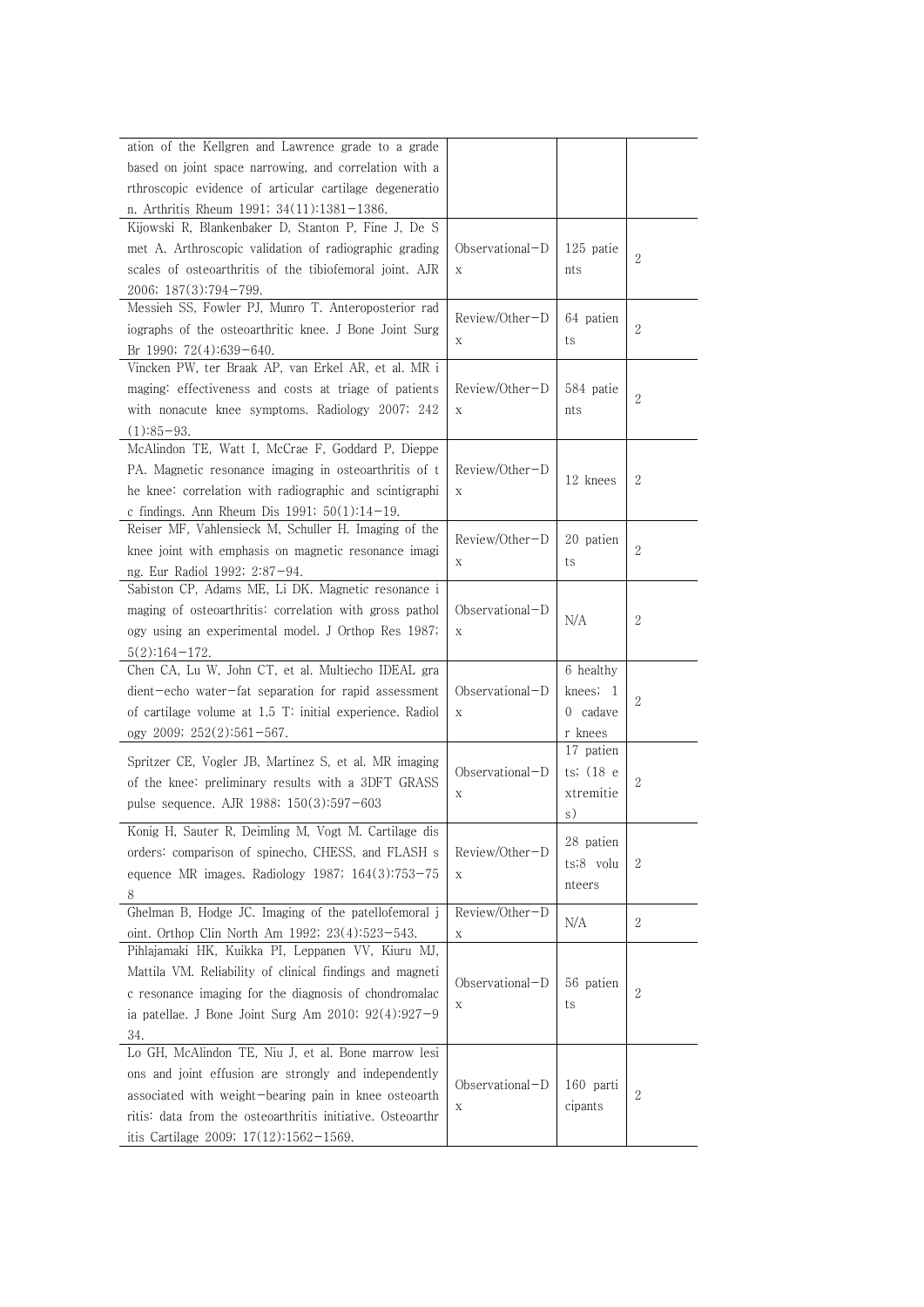| ation of the Kellgren and Lawrence grade to a grade                                                     |                   |           |                |
|---------------------------------------------------------------------------------------------------------|-------------------|-----------|----------------|
| based on joint space narrowing, and correlation with a                                                  |                   |           |                |
| rthroscopic evidence of articular cartilage degeneratio                                                 |                   |           |                |
| n. Arthritis Rheum 1991; 34(11):1381-1386.                                                              |                   |           |                |
| Kijowski R, Blankenbaker D, Stanton P, Fine J, De S                                                     |                   |           |                |
| met A. Arthroscopic validation of radiographic grading                                                  | $Observational-D$ | 125 patie | $\sqrt{2}$     |
| scales of osteoarthritis of the tibiofemoral joint. AJR                                                 | X                 | nts       |                |
| 2006; 187(3):794-799.                                                                                   |                   |           |                |
| Messieh SS, Fowler PJ, Munro T. Anteroposterior rad                                                     |                   |           |                |
| iographs of the osteoarthritic knee. J Bone Joint Surg                                                  | Review/Other-D    | 64 patien | $\overline{2}$ |
| Br 1990; 72(4):639-640.                                                                                 | Χ                 | ts        |                |
| Vincken PW, ter Braak AP, van Erkel AR, et al. MR i                                                     |                   |           |                |
| maging: effectiveness and costs at triage of patients                                                   | Review/Other-D    | 584 patie |                |
| with nonacute knee symptoms. Radiology 2007; 242                                                        | X                 | nts       | $\overline{2}$ |
| $(1):85-93.$                                                                                            |                   |           |                |
| McAlindon TE, Watt I, McCrae F, Goddard P, Dieppe                                                       |                   |           |                |
| PA. Magnetic resonance imaging in osteoarthritis of t                                                   | Review/Other-D    |           |                |
|                                                                                                         |                   | 12 knees  | $\mathbf{2}$   |
| he knee: correlation with radiographic and scintigraphi                                                 | X                 |           |                |
| c findings. Ann Rheum Dis 1991; $50(1)$ :14-19.<br>Reiser MF, Vahlensieck M, Schuller H. Imaging of the |                   |           |                |
|                                                                                                         | Review/Other-D    | 20 patien |                |
| knee joint with emphasis on magnetic resonance imagi                                                    | Х                 | ts        | $\overline{2}$ |
| ng. Eur Radiol 1992; 2:87-94.                                                                           |                   |           |                |
| Sabiston CP, Adams ME, Li DK. Magnetic resonance i                                                      |                   |           |                |
| maging of osteoarthritis: correlation with gross pathol                                                 | $Observational-D$ | N/A       | $\mathbf{2}$   |
| ogy using an experimental model. J Orthop Res 1987;                                                     | X                 |           |                |
| $5(2):164-172.$                                                                                         |                   |           |                |
| Chen CA, Lu W, John CT, et al. Multiecho IDEAL gra                                                      |                   | 6 healthy |                |
| dient-echo water-fat separation for rapid assessment                                                    | $Observational-D$ | knees; 1  | $\mathbf{2}$   |
| of cartilage volume at 1.5 T: initial experience. Radiol                                                | X                 | 0 cadave  |                |
| ogy 2009; 252(2):561-567.                                                                               |                   | r knees   |                |
| Spritzer CE, Vogler JB, Martinez S, et al. MR imaging                                                   |                   | 17 patien |                |
|                                                                                                         | $Observational-D$ | ts; (18 e |                |
| of the knee: preliminary results with a 3DFT GRASS                                                      | X                 | xtremitie | $\sqrt{2}$     |
| pulse sequence. AJR 1988; $150(3):597-603$                                                              |                   | s)        |                |
| Konig H, Sauter R, Deimling M, Vogt M. Cartilage dis                                                    |                   |           |                |
| orders: comparison of spinecho, CHESS, and FLASH s                                                      | Review/Other-D    | 28 patien |                |
| equence MR images. Radiology 1987; $164(3):753-75$                                                      | $\mathbf X$       | ts;8 volu | $\mathbf{2}$   |
| 8                                                                                                       |                   | nteers    |                |
| Ghelman B, Hodge JC. Imaging of the patellofemoral j                                                    | Review/Other-D    |           |                |
| oint. Orthop Clin North Am 1992; 23(4):523-543.                                                         | X                 | N/A       | $\overline{2}$ |
| Pihlajamaki HK, Kuikka PI, Leppanen VV, Kiuru MJ,                                                       |                   |           |                |
| Mattila VM. Reliability of clinical findings and magneti                                                |                   |           |                |
| c resonance imaging for the diagnosis of chondromalac                                                   | Observational-D   | 56 patien | $\sqrt{2}$     |
| ia patellae. J Bone Joint Surg Am 2010; $92(4):927-9$                                                   | X                 | ts        |                |
|                                                                                                         |                   |           |                |
| 34.                                                                                                     |                   |           |                |
| Lo GH, McAlindon TE, Niu J, et al. Bone marrow lesi                                                     |                   |           |                |
| ons and joint effusion are strongly and independently                                                   | Observational-D   | 160 parti |                |
| associated with weight-bearing pain in knee osteoarth                                                   | X                 | cipants   | $\overline{2}$ |
| ritis: data from the osteoarthritis initiative. Osteoarthr                                              |                   |           |                |
| itis Cartilage 2009; $17(12):1562-1569$ .                                                               |                   |           |                |